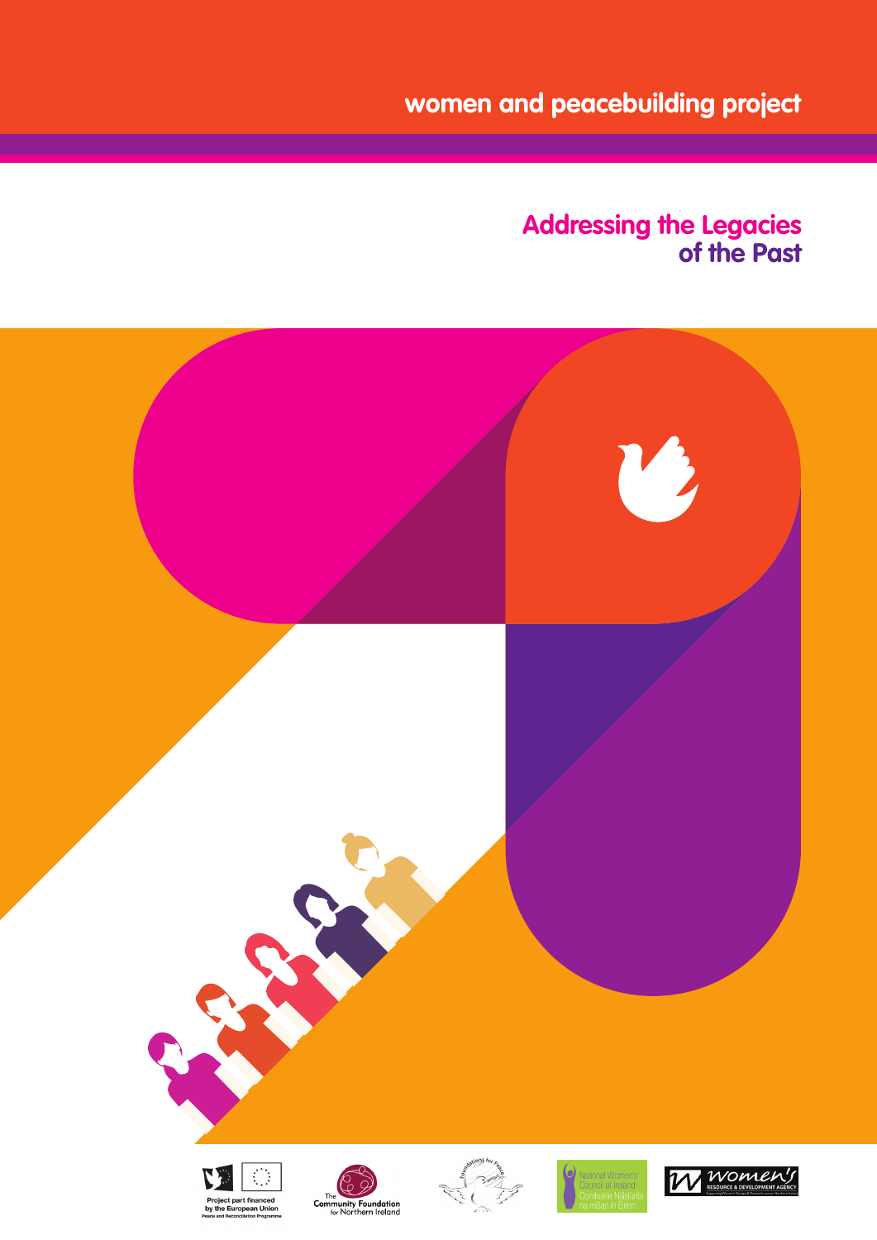# **women and peacebuilding project**

## **Addressing the Legacies of the Past**

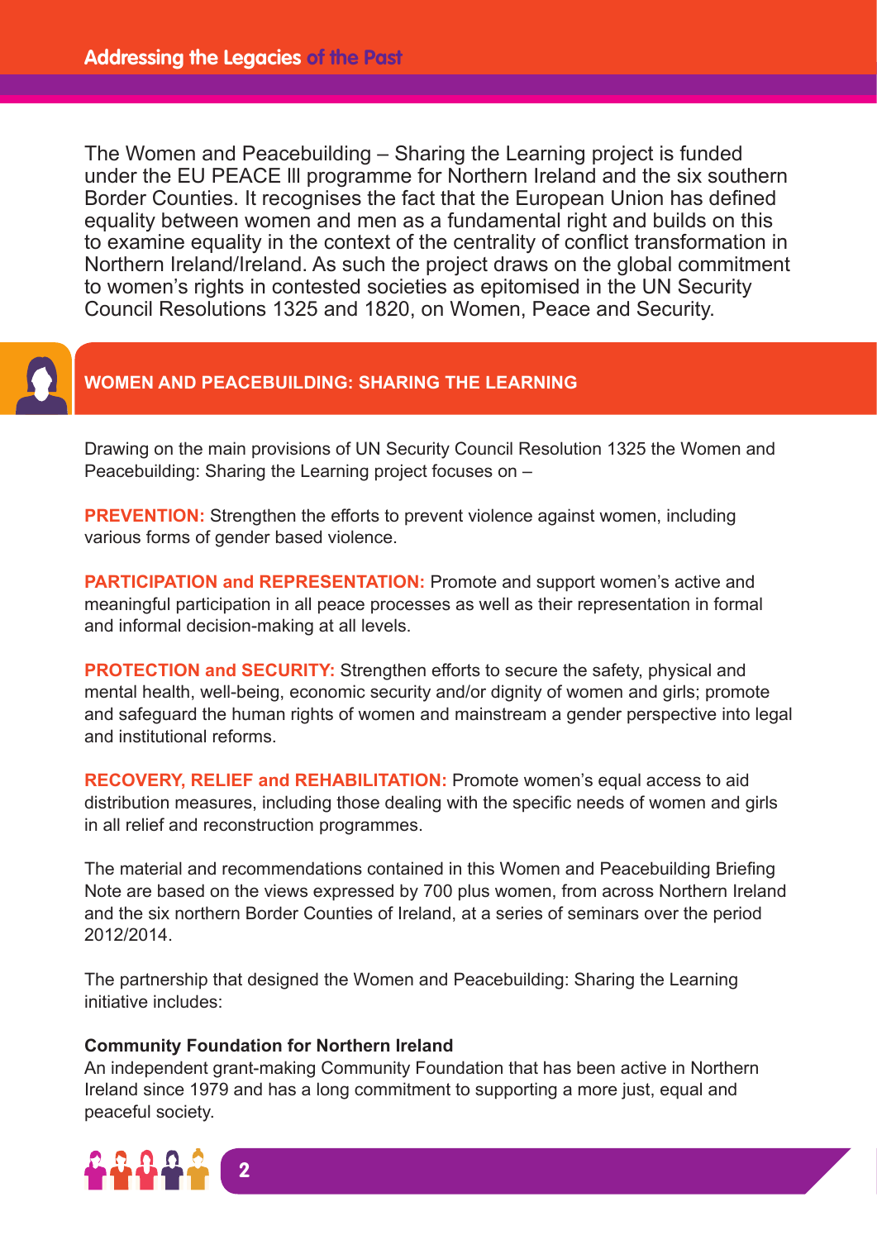The Women and Peacebuilding – Sharing the Learning project is funded under the EU PEACE lll programme for Northern Ireland and the six southern Border Counties. It recognises the fact that the European Union has defined equality between women and men as a fundamental right and builds on this to examine equality in the context of the centrality of conflict transformation in Northern Ireland/Ireland. As such the project draws on the global commitment to women's rights in contested societies as epitomised in the UN Security Council Resolutions 1325 and 1820, on Women, Peace and Security.



### **WOMEN AND PEACEBUILDING: SHARING THE LEARNING**

Drawing on the main provisions of UN Security Council Resolution 1325 the Women and Peacebuilding: Sharing the Learning project focuses on –

**PREVENTION:** Strengthen the efforts to prevent violence against women, including various forms of gender based violence.

**PARTICIPATION and REPRESENTATION:** Promote and support women's active and meaningful participation in all peace processes as well as their representation in formal and informal decision-making at all levels.

**PROTECTION and SECURITY:** Strengthen efforts to secure the safety, physical and mental health, well-being, economic security and/or dignity of women and girls; promote and safeguard the human rights of women and mainstream a gender perspective into legal and institutional reforms.

**RECOVERY, RELIEF and REHABILITATION:** Promote women's equal access to aid distribution measures, including those dealing with the specific needs of women and girls in all relief and reconstruction programmes.

The material and recommendations contained in this Women and Peacebuilding Briefing Note are based on the views expressed by 700 plus women, from across Northern Ireland and the six northern Border Counties of Ireland, at a series of seminars over the period 2012/2014.

The partnership that designed the Women and Peacebuilding: Sharing the Learning initiative includes:

#### **Community Foundation for Northern Ireland**

An independent grant-making Community Foundation that has been active in Northern Ireland since 1979 and has a long commitment to supporting a more just, equal and peaceful society.

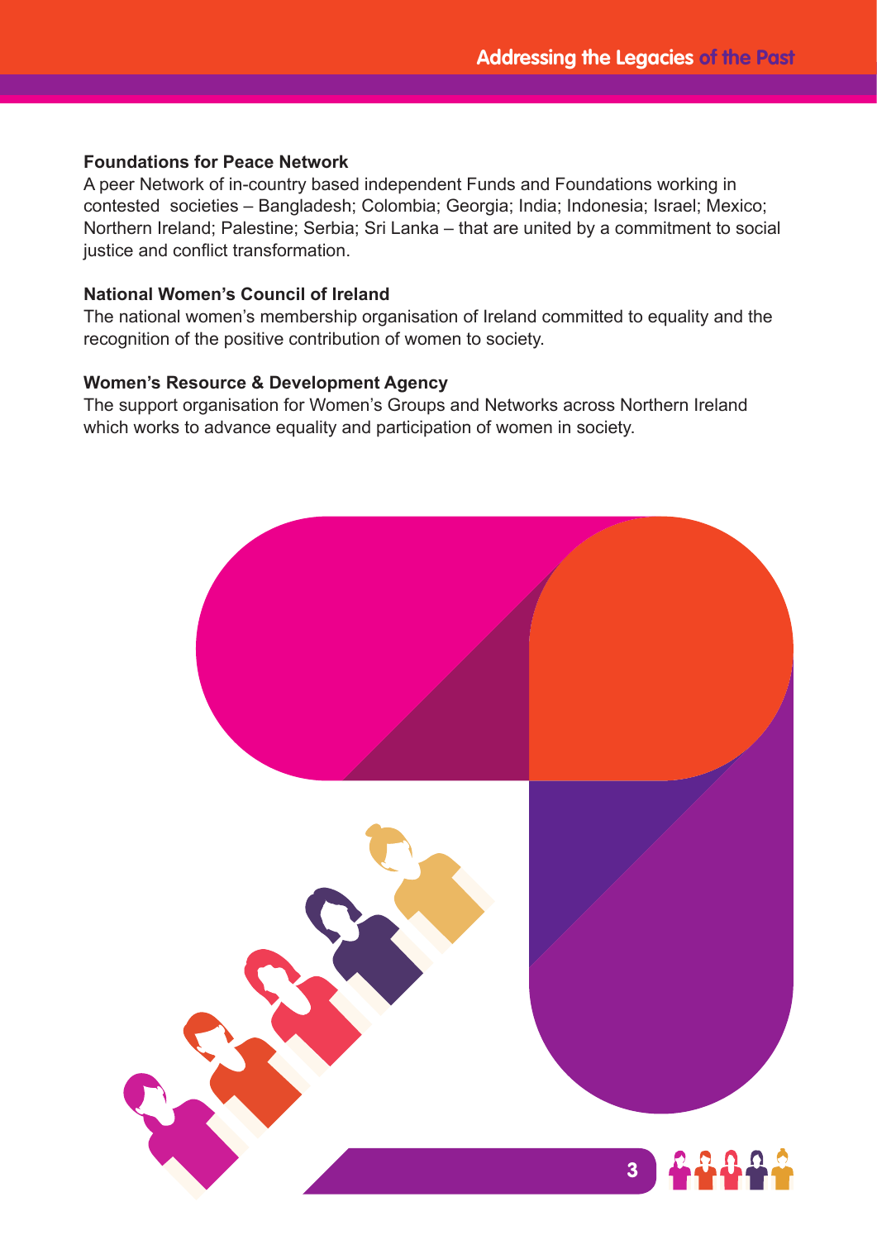#### **Foundations for Peace Network**

A peer Network of in-country based independent Funds and Foundations working in contested societies – Bangladesh; Colombia; Georgia; India; Indonesia; Israel; Mexico; Northern Ireland; Palestine; Serbia; Sri Lanka – that are united by a commitment to social justice and conflict transformation.

#### **National Women's Council of Ireland**

The national women's membership organisation of Ireland committed to equality and the recognition of the positive contribution of women to society.

#### **Women's Resource & Development Agency**

The support organisation for Women's Groups and Networks across Northern Ireland which works to advance equality and participation of women in society.

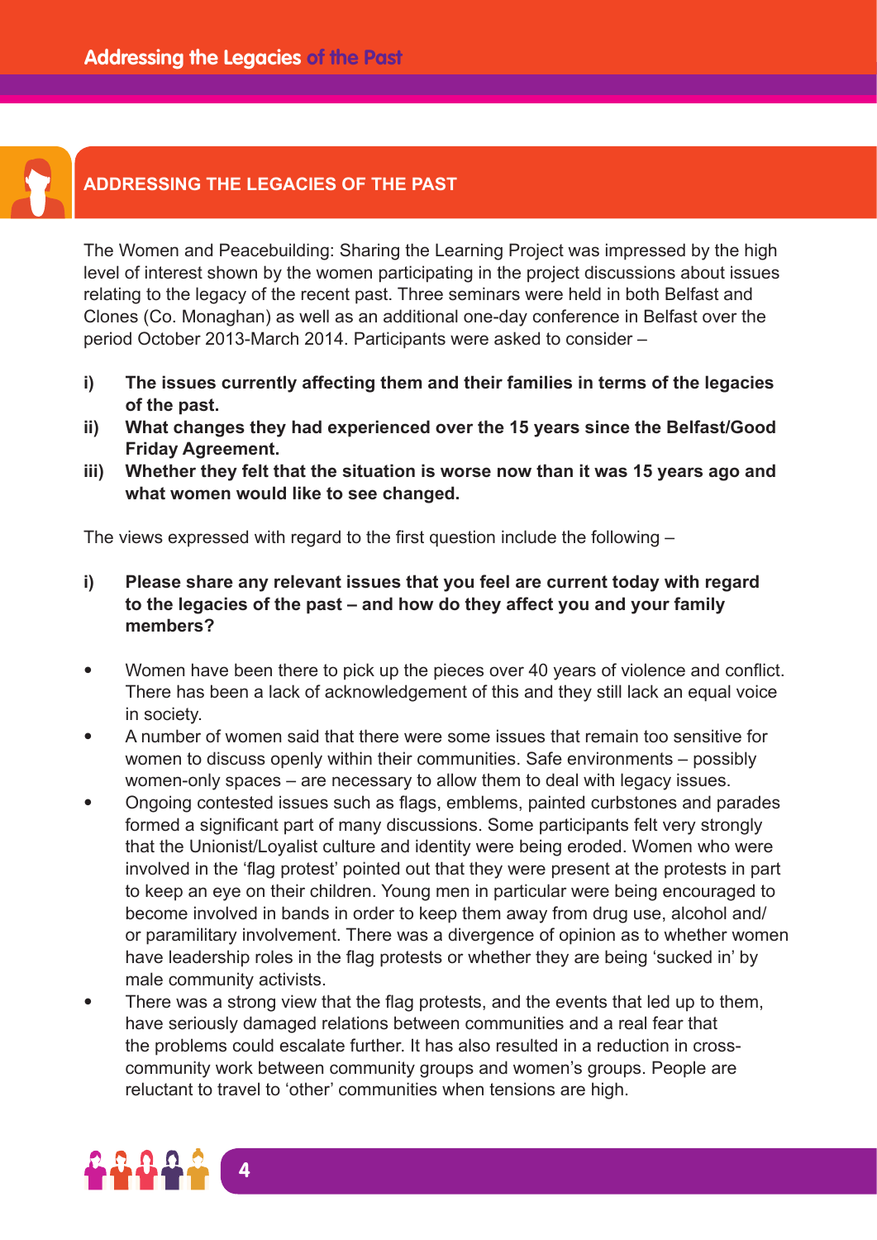

## **ADDRESSING THE LEGACIES OF THE PAST**

The Women and Peacebuilding: Sharing the Learning Project was impressed by the high level of interest shown by the women participating in the project discussions about issues relating to the legacy of the recent past. Three seminars were held in both Belfast and Clones (Co. Monaghan) as well as an additional one-day conference in Belfast over the period October 2013-March 2014. Participants were asked to consider –

- **i) The issues currently affecting them and their families in terms of the legacies of the past.**
- **ii) What changes they had experienced over the 15 years since the Belfast/Good Friday Agreement.**
- **iii) Whether they felt that the situation is worse now than it was 15 years ago and what women would like to see changed.**

The views expressed with regard to the first question include the following –

- **i) Please share any relevant issues that you feel are current today with regard to the legacies of the past – and how do they affect you and your family members?**
- Women have been there to pick up the pieces over 40 years of violence and conflict. There has been a lack of acknowledgement of this and they still lack an equal voice in society.
- A number of women said that there were some issues that remain too sensitive for women to discuss openly within their communities. Safe environments – possibly women-only spaces – are necessary to allow them to deal with legacy issues.
- Ongoing contested issues such as flags, emblems, painted curbstones and parades formed a significant part of many discussions. Some participants felt very strongly that the Unionist/Loyalist culture and identity were being eroded. Women who were involved in the 'flag protest' pointed out that they were present at the protests in part to keep an eye on their children. Young men in particular were being encouraged to become involved in bands in order to keep them away from drug use, alcohol and/ or paramilitary involvement. There was a divergence of opinion as to whether women have leadership roles in the flag protests or whether they are being 'sucked in' by male community activists.
- There was a strong view that the flag protests, and the events that led up to them, have seriously damaged relations between communities and a real fear that the problems could escalate further. It has also resulted in a reduction in crosscommunity work between community groups and women's groups. People are reluctant to travel to 'other' communities when tensions are high.

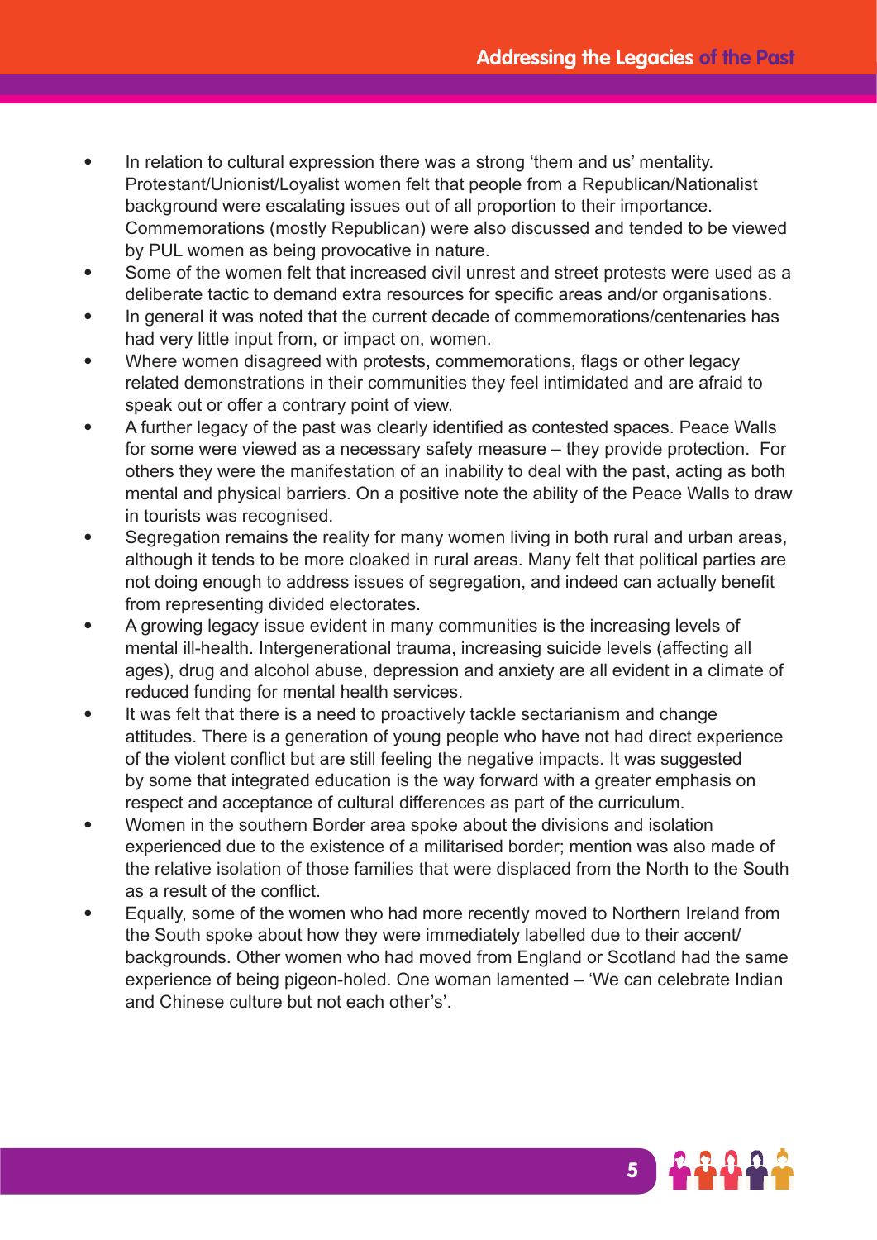- In relation to cultural expression there was a strong 'them and us' mentality. Protestant/Unionist/Loyalist women felt that people from a Republican/Nationalist background were escalating issues out of all proportion to their importance. Commemorations (mostly Republican) were also discussed and tended to be viewed by PUL women as being provocative in nature.
- Some of the women felt that increased civil unrest and street protests were used as a deliberate tactic to demand extra resources for specific areas and/or organisations.
- In general it was noted that the current decade of commemorations/centenaries has had very little input from, or impact on, women.
- Where women disagreed with protests, commemorations, flags or other legacy related demonstrations in their communities they feel intimidated and are afraid to speak out or offer a contrary point of view.
- A further legacy of the past was clearly identified as contested spaces. Peace Walls for some were viewed as a necessary safety measure – they provide protection. For others they were the manifestation of an inability to deal with the past, acting as both mental and physical barriers. On a positive note the ability of the Peace Walls to draw in tourists was recognised.
- Segregation remains the reality for many women living in both rural and urban areas, although it tends to be more cloaked in rural areas. Many felt that political parties are not doing enough to address issues of segregation, and indeed can actually benefit from representing divided electorates.
- A growing legacy issue evident in many communities is the increasing levels of mental ill-health. Intergenerational trauma, increasing suicide levels (affecting all ages), drug and alcohol abuse, depression and anxiety are all evident in a climate of reduced funding for mental health services.
- It was felt that there is a need to proactively tackle sectarianism and change attitudes. There is a generation of young people who have not had direct experience of the violent conflict but are still feeling the negative impacts. It was suggested by some that integrated education is the way forward with a greater emphasis on respect and acceptance of cultural differences as part of the curriculum.
- Women in the southern Border area spoke about the divisions and isolation experienced due to the existence of a militarised border; mention was also made of the relative isolation of those families that were displaced from the North to the South as a result of the conflict.
- Equally, some of the women who had more recently moved to Northern Ireland from the South spoke about how they were immediately labelled due to their accent/ backgrounds. Other women who had moved from England or Scotland had the same experience of being pigeon-holed. One woman lamented – 'We can celebrate Indian and Chinese culture but not each other's'.

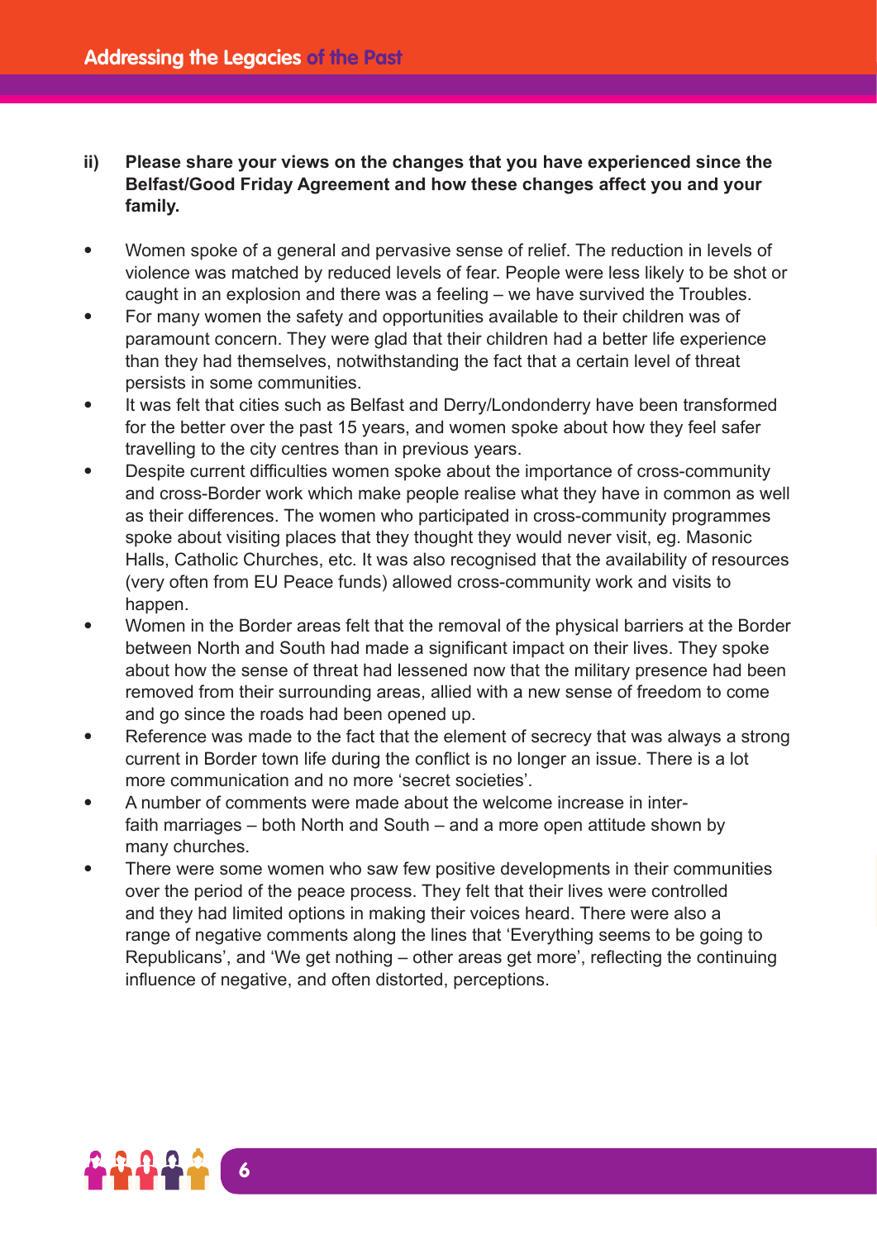## **ii) Please share your views on the changes that you have experienced since the Belfast/Good Friday Agreement and how these changes affect you and your family.**

- Women spoke of a general and pervasive sense of relief. The reduction in levels of violence was matched by reduced levels of fear. People were less likely to be shot or caught in an explosion and there was a feeling – we have survived the Troubles.
- For many women the safety and opportunities available to their children was of paramount concern. They were glad that their children had a better life experience than they had themselves, notwithstanding the fact that a certain level of threat persists in some communities.
- It was felt that cities such as Belfast and Derry/Londonderry have been transformed for the better over the past 15 years, and women spoke about how they feel safer travelling to the city centres than in previous years.
- Despite current difficulties women spoke about the importance of cross-community and cross-Border work which make people realise what they have in common as well as their differences. The women who participated in cross-community programmes spoke about visiting places that they thought they would never visit, eg. Masonic Halls, Catholic Churches, etc. It was also recognised that the availability of resources (very often from EU Peace funds) allowed cross-community work and visits to happen.
- Women in the Border areas felt that the removal of the physical barriers at the Border between North and South had made a significant impact on their lives. They spoke about how the sense of threat had lessened now that the military presence had been removed from their surrounding areas, allied with a new sense of freedom to come and go since the roads had been opened up.
- Reference was made to the fact that the element of secrecy that was always a strong current in Border town life during the conflict is no longer an issue. There is a lot more communication and no more 'secret societies'.
- A number of comments were made about the welcome increase in interfaith marriages – both North and South – and a more open attitude shown by many churches.
- There were some women who saw few positive developments in their communities over the period of the peace process. They felt that their lives were controlled and they had limited options in making their voices heard. There were also a range of negative comments along the lines that 'Everything seems to be going to Republicans', and 'We get nothing – other areas get more', reflecting the continuing influence of negative, and often distorted, perceptions.

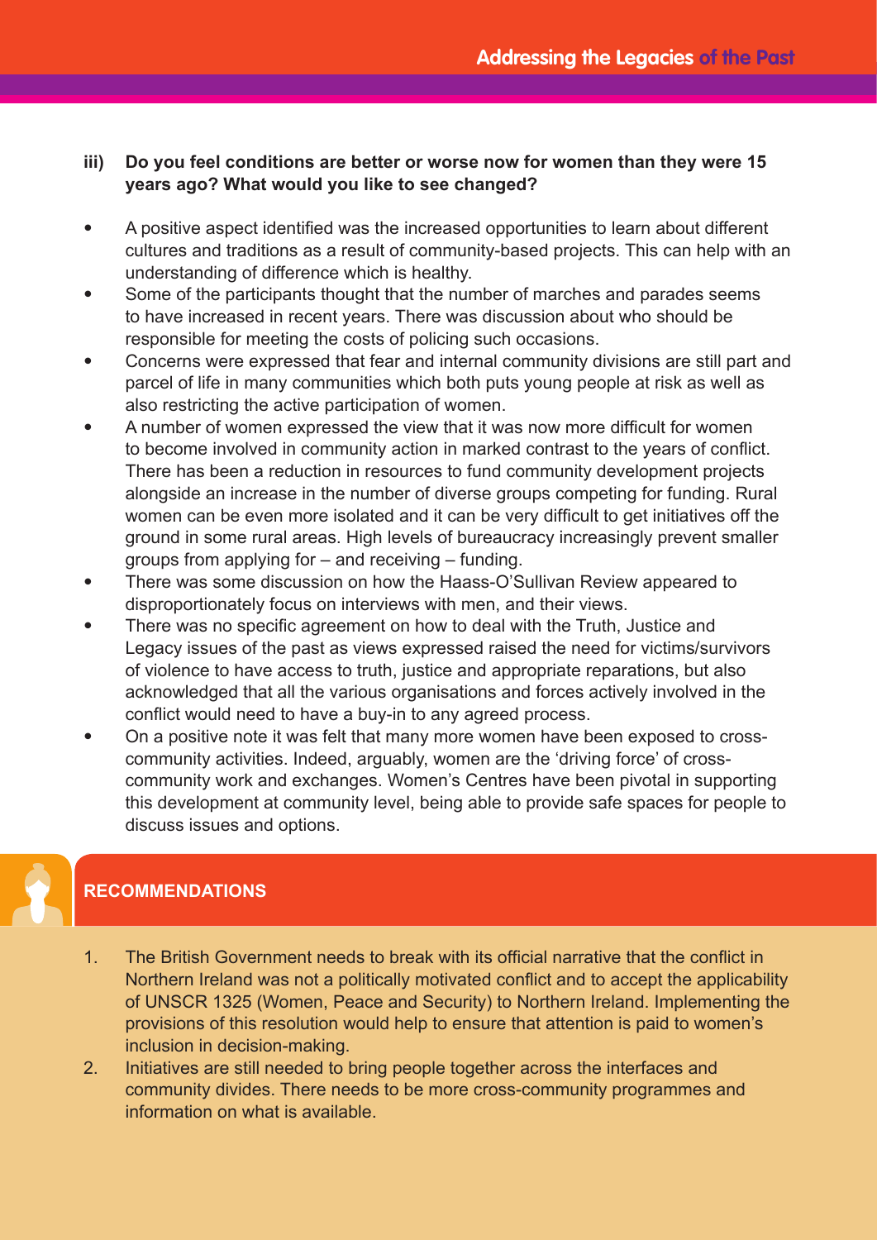#### **iii) Do you feel conditions are better or worse now for women than they were 15 years ago? What would you like to see changed?**

- A positive aspect identified was the increased opportunities to learn about different cultures and traditions as a result of community-based projects. This can help with an understanding of difference which is healthy.
- Some of the participants thought that the number of marches and parades seems to have increased in recent years. There was discussion about who should be responsible for meeting the costs of policing such occasions.
- Concerns were expressed that fear and internal community divisions are still part and parcel of life in many communities which both puts young people at risk as well as also restricting the active participation of women.
- A number of women expressed the view that it was now more difficult for women to become involved in community action in marked contrast to the years of conflict. There has been a reduction in resources to fund community development projects alongside an increase in the number of diverse groups competing for funding. Rural women can be even more isolated and it can be very difficult to get initiatives off the ground in some rural areas. High levels of bureaucracy increasingly prevent smaller groups from applying for – and receiving – funding.
- There was some discussion on how the Haass-O'Sullivan Review appeared to disproportionately focus on interviews with men, and their views.
- There was no specific agreement on how to deal with the Truth, Justice and Legacy issues of the past as views expressed raised the need for victims/survivors of violence to have access to truth, justice and appropriate reparations, but also acknowledged that all the various organisations and forces actively involved in the conflict would need to have a buy-in to any agreed process.
- On a positive note it was felt that many more women have been exposed to crosscommunity activities. Indeed, arguably, women are the 'driving force' of crosscommunity work and exchanges. Women's Centres have been pivotal in supporting this development at community level, being able to provide safe spaces for people to discuss issues and options.

## **RECOMMENDATIONS**

- 1. The British Government needs to break with its official narrative that the conflict in Northern Ireland was not a politically motivated conflict and to accept the applicability of UNSCR 1325 (Women, Peace and Security) to Northern Ireland. Implementing the provisions of this resolution would help to ensure that attention is paid to women's inclusion in decision-making.
- 2. Initiatives are still needed to bring people together across the interfaces and community divides. There needs to be more cross-community programmes and information on what is available.